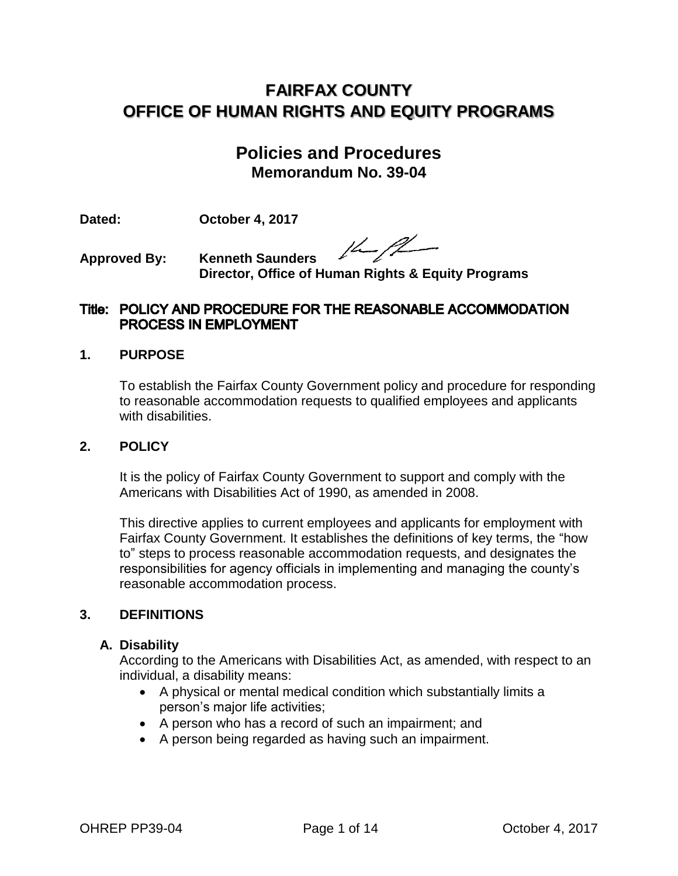# **FAIRFAX COUNTY OFFICE OF HUMAN RIGHTS AND EQUITY PROGRAMS**

# **Policies and Procedures Memorandum No. 39-04**

**Dated: October 4, 2017**

 $14 - 12$ 

**Approved By: Kenneth Saunders Director, Office of Human Rights & Equity Programs**

# Title: POLICY AND PROCEDURE FOR THE REASONABLE ACCOMMODATION PROCESS IN EMPLOYMENT

### **1. PURPOSE**

To establish the Fairfax County Government policy and procedure for responding to reasonable accommodation requests to qualified employees and applicants with disabilities.

#### **2. POLICY**

It is the policy of Fairfax County Government to support and comply with the Americans with Disabilities Act of 1990, as amended in 2008.

This directive applies to current employees and applicants for employment with Fairfax County Government. It establishes the definitions of key terms, the "how to" steps to process reasonable accommodation requests, and designates the responsibilities for agency officials in implementing and managing the county's reasonable accommodation process.

### **3. DEFINITIONS**

#### **A. Disability**

According to the Americans with Disabilities Act, as amended, with respect to an individual, a disability means:

- A physical or mental medical condition which substantially limits a person's major life activities;
- A person who has a record of such an impairment; and
- A person being regarded as having such an impairment.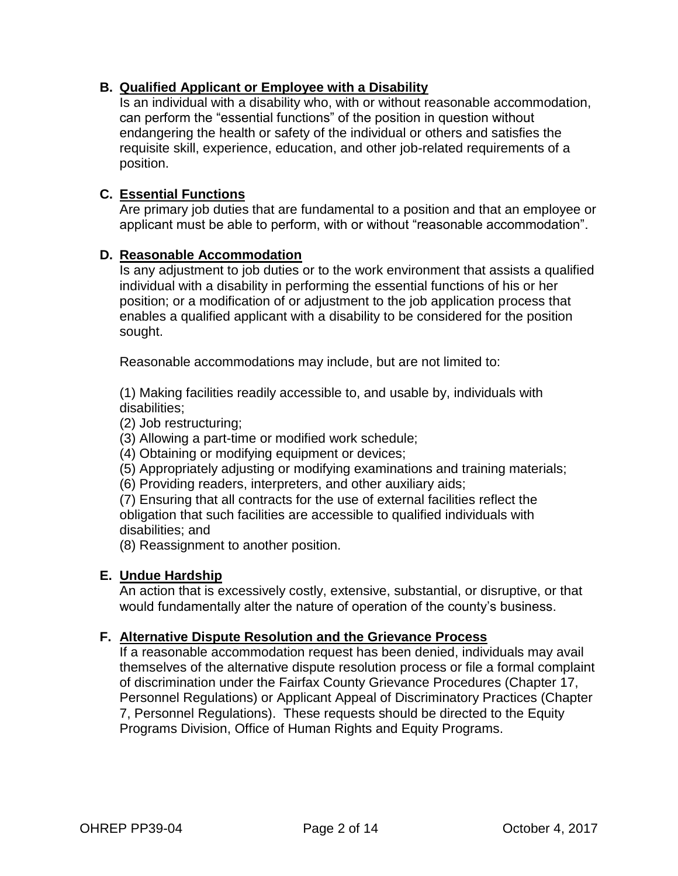# **B. Qualified Applicant or Employee with a Disability**

Is an individual with a disability who, with or without reasonable accommodation, can perform the "essential functions" of the position in question without endangering the health or safety of the individual or others and satisfies the requisite skill, experience, education, and other job-related requirements of a position.

## **C. Essential Functions**

Are primary job duties that are fundamental to a position and that an employee or applicant must be able to perform, with or without "reasonable accommodation".

#### **D. Reasonable Accommodation**

Is any adjustment to job duties or to the work environment that assists a qualified individual with a disability in performing the essential functions of his or her position; or a modification of or adjustment to the job application process that enables a qualified applicant with a disability to be considered for the position sought.

Reasonable accommodations may include, but are not limited to:

(1) Making facilities readily accessible to, and usable by, individuals with disabilities;

(2) Job restructuring;

(3) Allowing a part-time or modified work schedule;

(4) Obtaining or modifying equipment or devices;

(5) Appropriately adjusting or modifying examinations and training materials;

(6) Providing readers, interpreters, and other auxiliary aids;

(7) Ensuring that all contracts for the use of external facilities reflect the obligation that such facilities are accessible to qualified individuals with disabilities; and

(8) Reassignment to another position.

#### **E. Undue Hardship**

An action that is excessively costly, extensive, substantial, or disruptive, or that would fundamentally alter the nature of operation of the county's business.

#### **F. Alternative Dispute Resolution and the Grievance Process**

If a reasonable accommodation request has been denied, individuals may avail themselves of the alternative dispute resolution process or file a formal complaint of discrimination under the Fairfax County Grievance Procedures (Chapter 17, Personnel Regulations) or Applicant Appeal of Discriminatory Practices (Chapter 7, Personnel Regulations). These requests should be directed to the Equity Programs Division, Office of Human Rights and Equity Programs.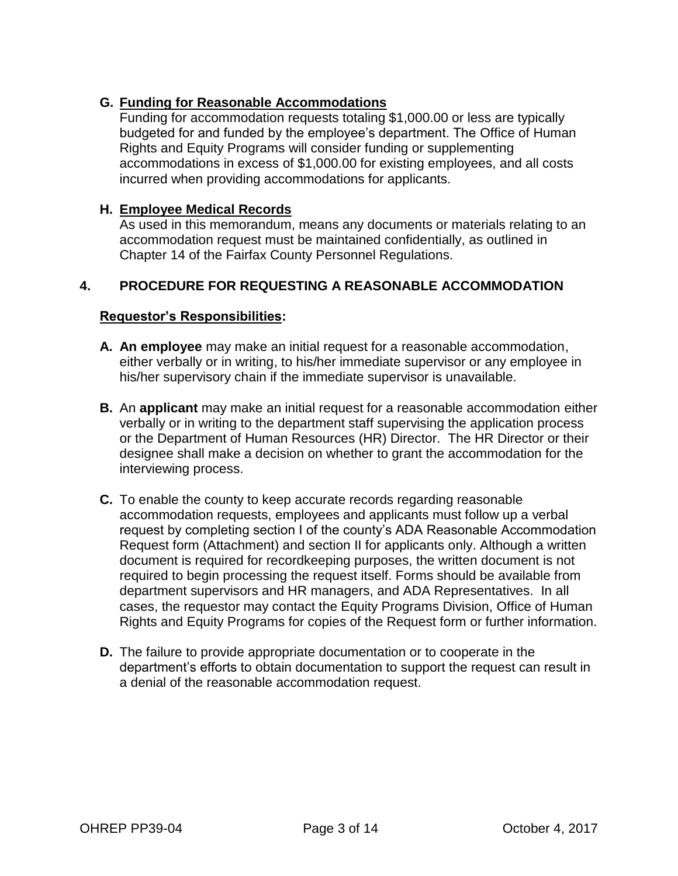# **G. Funding for Reasonable Accommodations**

Funding for accommodation requests totaling \$1,000.00 or less are typically budgeted for and funded by the employee's department. The Office of Human Rights and Equity Programs will consider funding or supplementing accommodations in excess of \$1,000.00 for existing employees, and all costs incurred when providing accommodations for applicants.

#### **H. Employee Medical Records**

As used in this memorandum, means any documents or materials relating to an accommodation request must be maintained confidentially, as outlined in Chapter 14 of the Fairfax County Personnel Regulations.

# **4. PROCEDURE FOR REQUESTING A REASONABLE ACCOMMODATION**

#### **Requestor's Responsibilities:**

- **A. An employee** may make an initial request for a reasonable accommodation, either verbally or in writing, to his/her immediate supervisor or any employee in his/her supervisory chain if the immediate supervisor is unavailable.
- **B.** An **applicant** may make an initial request for a reasonable accommodation either verbally or in writing to the department staff supervising the application process or the Department of Human Resources (HR) Director. The HR Director or their designee shall make a decision on whether to grant the accommodation for the interviewing process.
- **C.** To enable the county to keep accurate records regarding reasonable accommodation requests, employees and applicants must follow up a verbal request by completing section I of the county's ADA Reasonable Accommodation Request form (Attachment) and section II for applicants only. Although a written document is required for recordkeeping purposes, the written document is not required to begin processing the request itself. Forms should be available from department supervisors and HR managers, and ADA Representatives. In all cases, the requestor may contact the Equity Programs Division, Office of Human Rights and Equity Programs for copies of the Request form or further information.
- **D.** The failure to provide appropriate documentation or to cooperate in the department's efforts to obtain documentation to support the request can result in a denial of the reasonable accommodation request.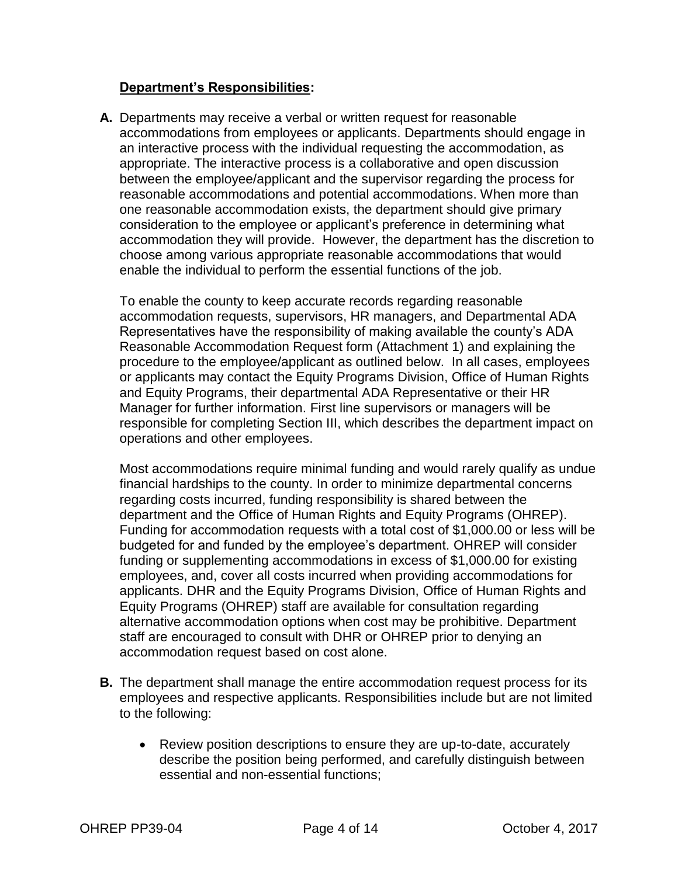## **Department's Responsibilities:**

**A.** Departments may receive a verbal or written request for reasonable accommodations from employees or applicants. Departments should engage in an interactive process with the individual requesting the accommodation, as appropriate. The interactive process is a collaborative and open discussion between the employee/applicant and the supervisor regarding the process for reasonable accommodations and potential accommodations. When more than one reasonable accommodation exists, the department should give primary consideration to the employee or applicant's preference in determining what accommodation they will provide. However, the department has the discretion to choose among various appropriate reasonable accommodations that would enable the individual to perform the essential functions of the job.

To enable the county to keep accurate records regarding reasonable accommodation requests, supervisors, HR managers, and Departmental ADA Representatives have the responsibility of making available the county's ADA Reasonable Accommodation Request form (Attachment 1) and explaining the procedure to the employee/applicant as outlined below. In all cases, employees or applicants may contact the Equity Programs Division, Office of Human Rights and Equity Programs, their departmental ADA Representative or their HR Manager for further information. First line supervisors or managers will be responsible for completing Section III, which describes the department impact on operations and other employees.

Most accommodations require minimal funding and would rarely qualify as undue financial hardships to the county. In order to minimize departmental concerns regarding costs incurred, funding responsibility is shared between the department and the Office of Human Rights and Equity Programs (OHREP). Funding for accommodation requests with a total cost of \$1,000.00 or less will be budgeted for and funded by the employee's department. OHREP will consider funding or supplementing accommodations in excess of \$1,000.00 for existing employees, and, cover all costs incurred when providing accommodations for applicants. DHR and the Equity Programs Division, Office of Human Rights and Equity Programs (OHREP) staff are available for consultation regarding alternative accommodation options when cost may be prohibitive. Department staff are encouraged to consult with DHR or OHREP prior to denying an accommodation request based on cost alone.

- **B.** The department shall manage the entire accommodation request process for its employees and respective applicants. Responsibilities include but are not limited to the following:
	- Review position descriptions to ensure they are up-to-date, accurately describe the position being performed, and carefully distinguish between essential and non-essential functions;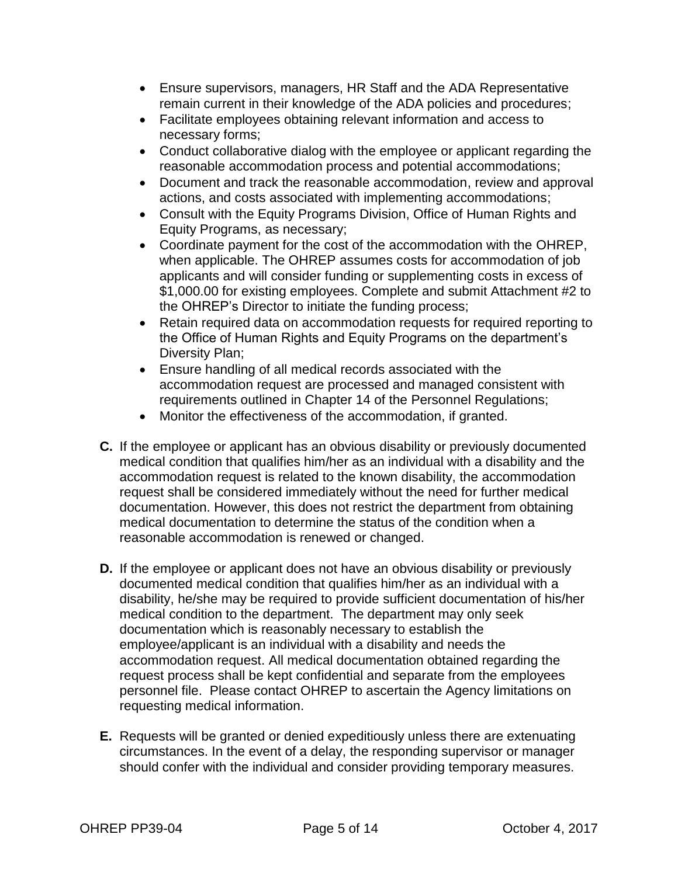- Ensure supervisors, managers, HR Staff and the ADA Representative remain current in their knowledge of the ADA policies and procedures;
- Facilitate employees obtaining relevant information and access to necessary forms;
- Conduct collaborative dialog with the employee or applicant regarding the reasonable accommodation process and potential accommodations;
- Document and track the reasonable accommodation, review and approval actions, and costs associated with implementing accommodations;
- Consult with the Equity Programs Division, Office of Human Rights and Equity Programs, as necessary;
- Coordinate payment for the cost of the accommodation with the OHREP, when applicable. The OHREP assumes costs for accommodation of job applicants and will consider funding or supplementing costs in excess of \$1,000.00 for existing employees. Complete and submit Attachment #2 to the OHREP's Director to initiate the funding process;
- Retain required data on accommodation requests for required reporting to the Office of Human Rights and Equity Programs on the department's Diversity Plan;
- Ensure handling of all medical records associated with the accommodation request are processed and managed consistent with requirements outlined in Chapter 14 of the Personnel Regulations;
- Monitor the effectiveness of the accommodation, if granted.
- **C.** If the employee or applicant has an obvious disability or previously documented medical condition that qualifies him/her as an individual with a disability and the accommodation request is related to the known disability, the accommodation request shall be considered immediately without the need for further medical documentation. However, this does not restrict the department from obtaining medical documentation to determine the status of the condition when a reasonable accommodation is renewed or changed.
- **D.** If the employee or applicant does not have an obvious disability or previously documented medical condition that qualifies him/her as an individual with a disability, he/she may be required to provide sufficient documentation of his/her medical condition to the department. The department may only seek documentation which is reasonably necessary to establish the employee/applicant is an individual with a disability and needs the accommodation request. All medical documentation obtained regarding the request process shall be kept confidential and separate from the employees personnel file. Please contact OHREP to ascertain the Agency limitations on requesting medical information.
- **E.** Requests will be granted or denied expeditiously unless there are extenuating circumstances. In the event of a delay, the responding supervisor or manager should confer with the individual and consider providing temporary measures.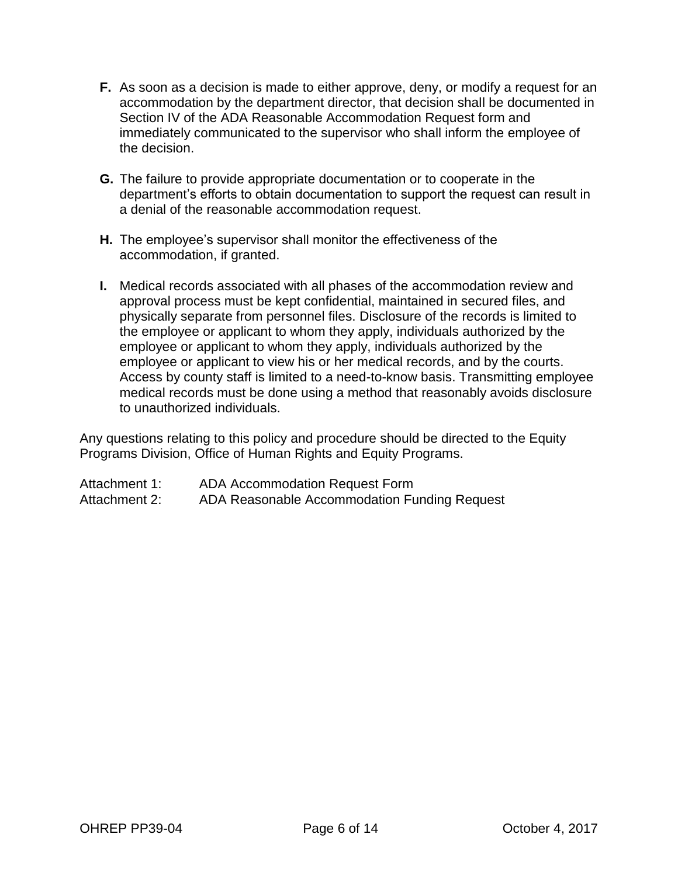- **F.** As soon as a decision is made to either approve, deny, or modify a request for an accommodation by the department director, that decision shall be documented in Section IV of the ADA Reasonable Accommodation Request form and immediately communicated to the supervisor who shall inform the employee of the decision.
- **G.** The failure to provide appropriate documentation or to cooperate in the department's efforts to obtain documentation to support the request can result in a denial of the reasonable accommodation request.
- **H.** The employee's supervisor shall monitor the effectiveness of the accommodation, if granted.
- **I.** Medical records associated with all phases of the accommodation review and approval process must be kept confidential, maintained in secured files, and physically separate from personnel files. Disclosure of the records is limited to the employee or applicant to whom they apply, individuals authorized by the employee or applicant to whom they apply, individuals authorized by the employee or applicant to view his or her medical records, and by the courts. Access by county staff is limited to a need-to-know basis. Transmitting employee medical records must be done using a method that reasonably avoids disclosure to unauthorized individuals.

Any questions relating to this policy and procedure should be directed to the Equity Programs Division, Office of Human Rights and Equity Programs.

Attachment 1: ADA Accommodation Request Form Attachment 2: ADA Reasonable Accommodation Funding Request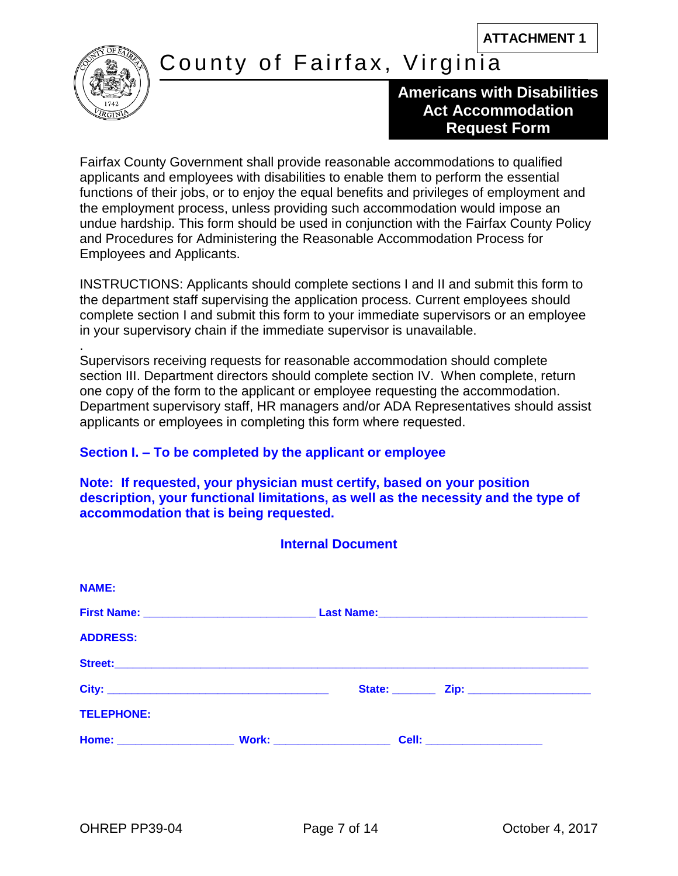

.

# County of Fairfax, Virginia

# **Americans with Disabilities Act Accommodation Request Form**

Fairfax County Government shall provide reasonable accommodations to qualified applicants and employees with disabilities to enable them to perform the essential functions of their jobs, or to enjoy the equal benefits and privileges of employment and the employment process, unless providing such accommodation would impose an undue hardship. This form should be used in conjunction with the Fairfax County Policy and Procedures for Administering the Reasonable Accommodation Process for Employees and Applicants.

INSTRUCTIONS: Applicants should complete sections I and II and submit this form to the department staff supervising the application process. Current employees should complete section I and submit this form to your immediate supervisors or an employee in your supervisory chain if the immediate supervisor is unavailable.

Supervisors receiving requests for reasonable accommodation should complete section III. Department directors should complete section IV. When complete, return one copy of the form to the applicant or employee requesting the accommodation. Department supervisory staff, HR managers and/or ADA Representatives should assist applicants or employees in completing this form where requested.

# **Section I. – To be completed by the applicant or employee**

**Note: If requested, your physician must certify, based on your position description, your functional limitations, as well as the necessity and the type of accommodation that is being requested.** 

| <b>Internal Document</b> |  |  |                                         |  |  |
|--------------------------|--|--|-----------------------------------------|--|--|
| <b>NAME:</b>             |  |  |                                         |  |  |
|                          |  |  |                                         |  |  |
| <b>ADDRESS:</b>          |  |  |                                         |  |  |
|                          |  |  |                                         |  |  |
|                          |  |  | State: <u>Zip: Zip: _______________</u> |  |  |
| <b>TELEPHONE:</b>        |  |  |                                         |  |  |
|                          |  |  | <b>Cell: _____________________</b>      |  |  |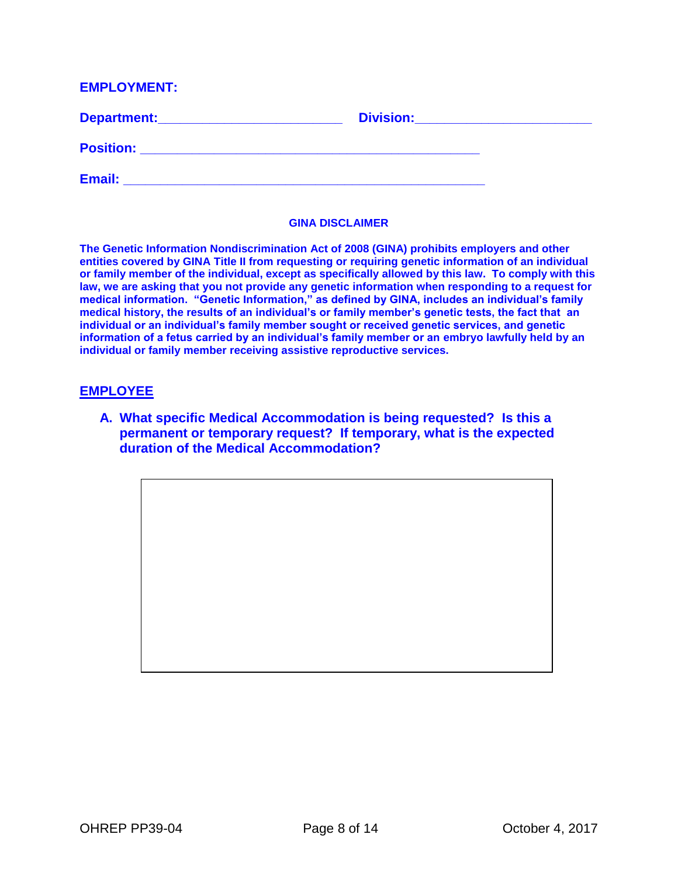#### **EMPLOYMENT:**

| Department:      | <b>Division:</b> |
|------------------|------------------|
| <b>Position:</b> |                  |
| Email:           |                  |

#### **GINA DISCLAIMER**

**The Genetic Information Nondiscrimination Act of 2008 (GINA) prohibits employers and other entities covered by GINA Title II from requesting or requiring genetic information of an individual or family member of the individual, except as specifically allowed by this law. To comply with this law, we are asking that you not provide any genetic information when responding to a request for medical information. "Genetic Information," as defined by GINA, includes an individual's family medical history, the results of an individual's or family member's genetic tests, the fact that an individual or an individual's family member sought or received genetic services, and genetic information of a fetus carried by an individual's family member or an embryo lawfully held by an individual or family member receiving assistive reproductive services.** 

#### **EMPLOYEE**

**A. What specific Medical Accommodation is being requested? Is this a permanent or temporary request? If temporary, what is the expected duration of the Medical Accommodation?**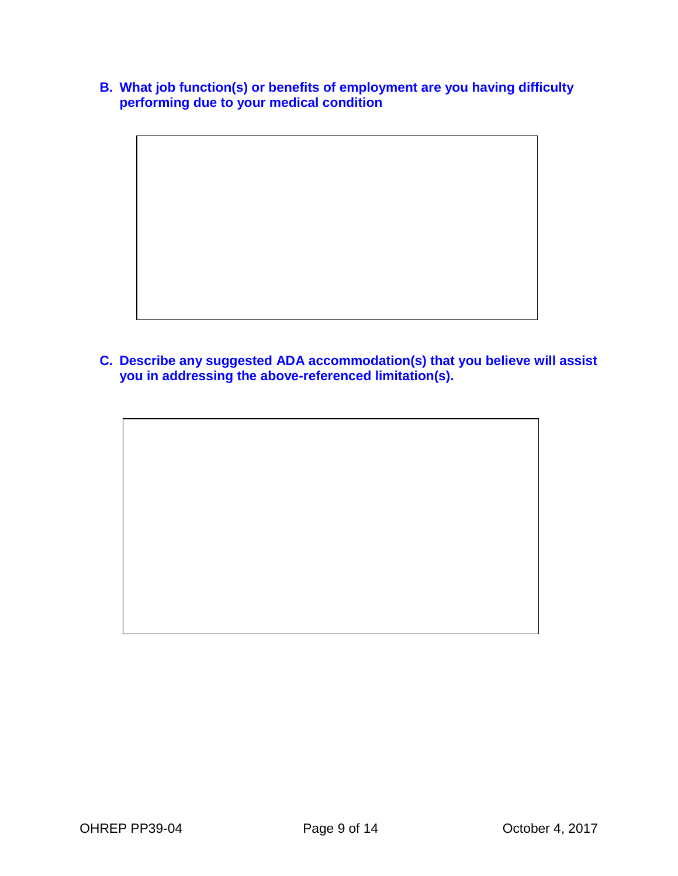- **B. What job function(s) or benefits of employment are you having difficulty performing due to your medical condition**
	-
- **C. Describe any suggested ADA accommodation(s) that you believe will assist you in addressing the above-referenced limitation(s).**

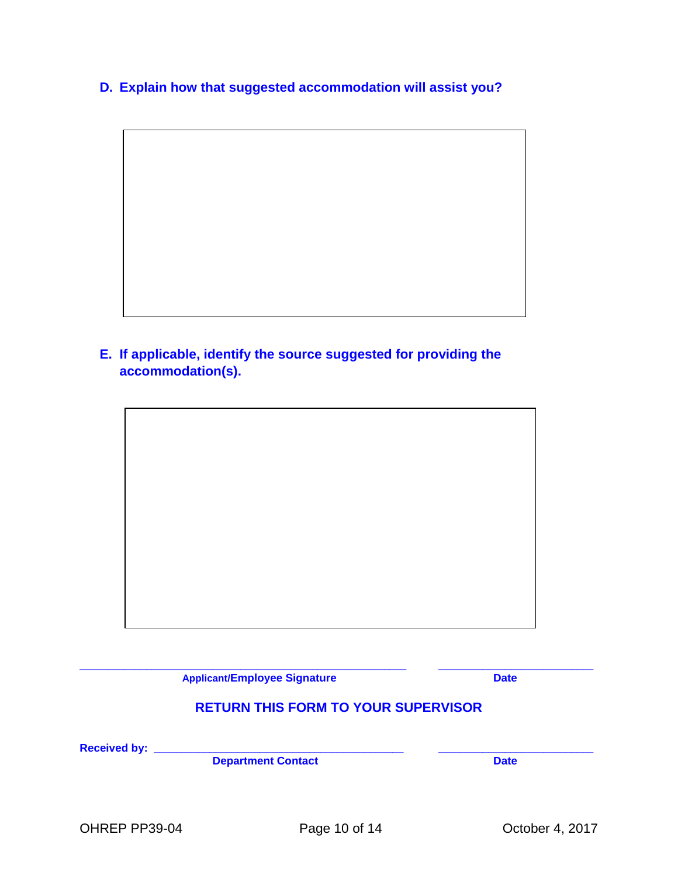**D. Explain how that suggested accommodation will assist you?**

**E. If applicable, identify the source suggested for providing the accommodation(s).**



**\_\_\_\_\_\_\_\_\_\_\_\_\_\_\_\_\_\_\_\_\_\_\_\_\_\_\_\_\_\_\_\_\_\_\_\_\_\_\_\_\_\_\_\_\_\_\_\_\_\_\_\_\_\_\_\_\_\_\_ \_\_\_\_\_\_\_\_\_\_\_\_\_\_\_\_\_\_\_\_\_\_\_\_\_\_\_\_ Applicant/Employee Signature Date RETURN THIS FORM TO YOUR SUPERVISOR Received by: \_\_\_\_\_\_\_\_\_\_\_\_\_\_\_\_\_\_\_\_\_\_\_\_\_\_\_\_\_\_\_\_\_\_\_\_\_\_\_\_\_\_\_\_\_ \_\_\_\_\_\_\_\_\_\_\_\_\_\_\_\_\_\_\_\_\_\_\_\_\_\_\_\_ Department Contact**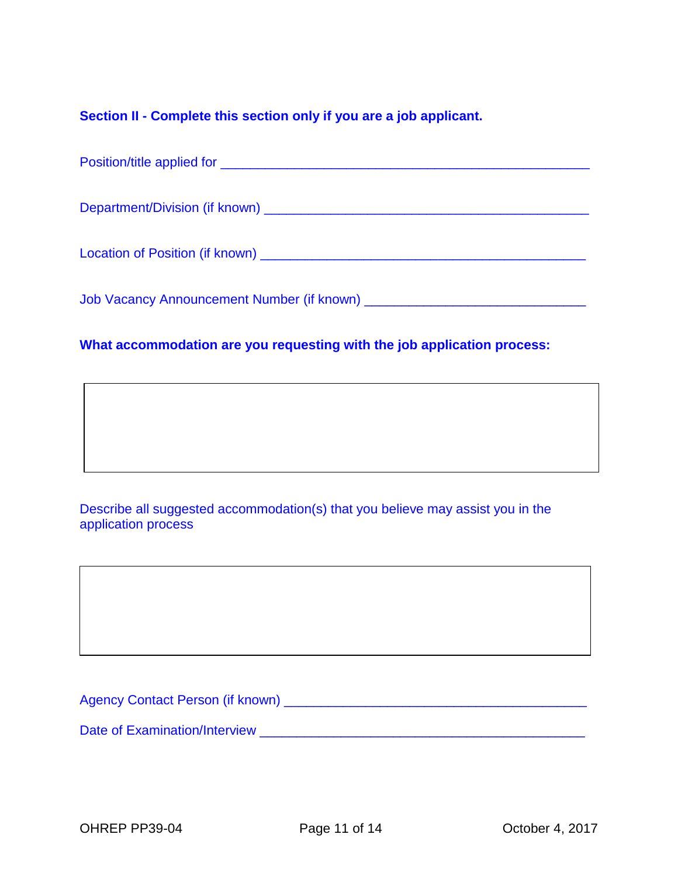# **Section II - Complete this section only if you are a job applicant.**

# **What accommodation are you requesting with the job application process:**

Describe all suggested accommodation(s) that you believe may assist you in the application process

Agency Contact Person (if known) \_\_\_\_\_\_\_\_\_\_\_\_\_\_\_\_\_\_\_\_\_\_\_\_\_\_\_\_\_\_\_\_\_\_\_\_\_\_\_\_\_

Date of Examination/Interview \_\_\_\_\_\_\_\_\_\_\_\_\_\_\_\_\_\_\_\_\_\_\_\_\_\_\_\_\_\_\_\_\_\_\_\_\_\_\_\_\_\_\_\_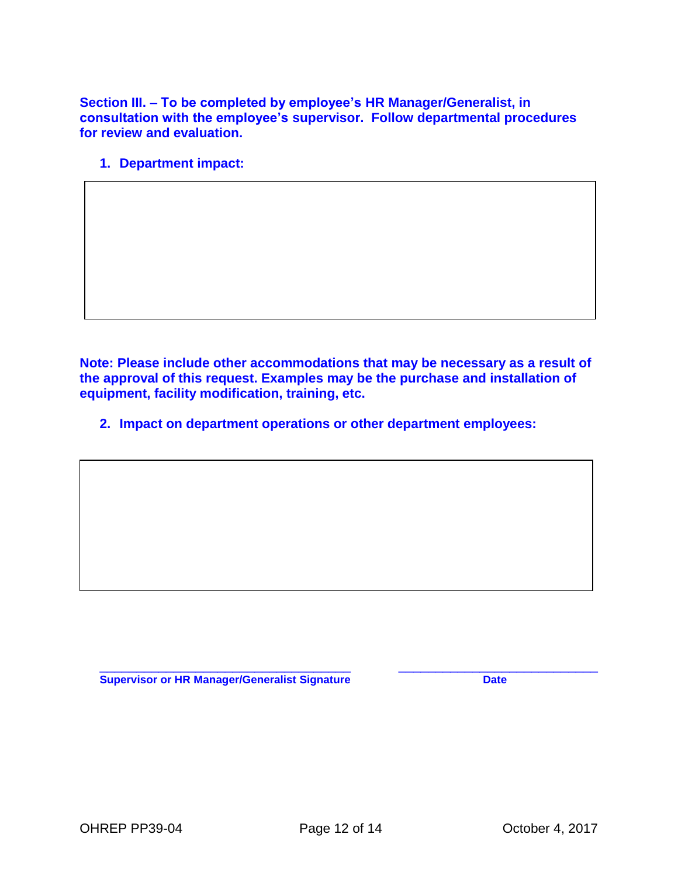**Section III. – To be completed by employee's HR Manager/Generalist, in consultation with the employee's supervisor. Follow departmental procedures for review and evaluation.**

**1. Department impact:**

**Note: Please include other accommodations that may be necessary as a result of the approval of this request. Examples may be the purchase and installation of equipment, facility modification, training, etc.** 

**2. Impact on department operations or other department employees:**

 $\_$  , and the set of the set of the set of the set of the set of the set of the set of the set of the set of the set of the set of the set of the set of the set of the set of the set of the set of the set of the set of th **Supervisor or HR Manager/Generalist Signature Date** Date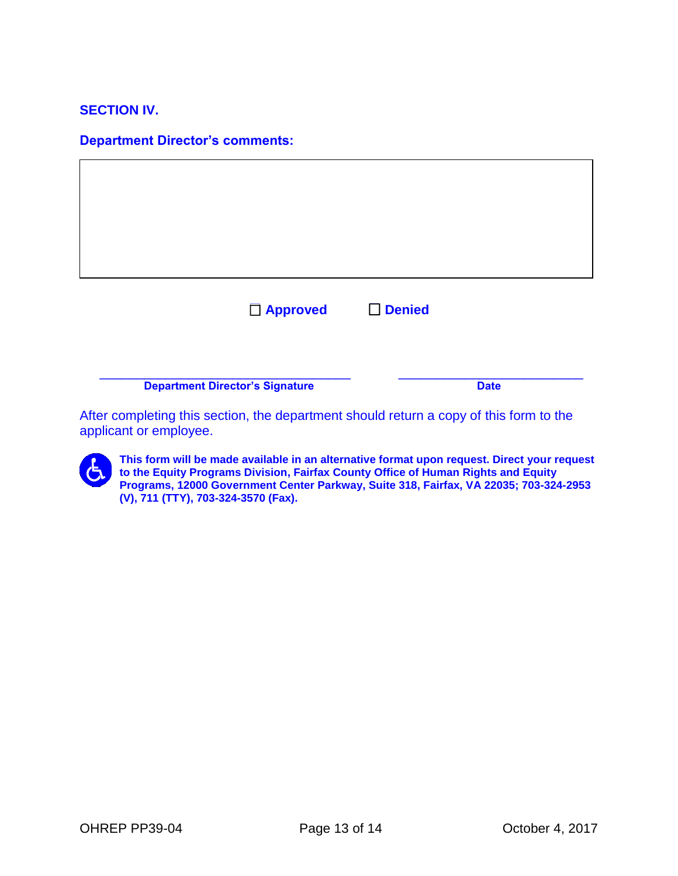#### **SECTION IV.**

#### **Department Director's comments:**

| □ Approved                             |  | $\square$ Denied |  |  |
|----------------------------------------|--|------------------|--|--|
|                                        |  |                  |  |  |
| <b>Department Director's Signature</b> |  | <b>Date</b>      |  |  |

After completing this section, the department should return a copy of this form to the applicant or employee.



**This form will be made available in an alternative format upon request. Direct your request to the Equity Programs Division, Fairfax County Office of Human Rights and Equity Programs, 12000 Government Center Parkway, Suite 318, Fairfax, VA 22035; 703-324-2953 (V), 711 (TTY), 703-324-3570 (Fax).**